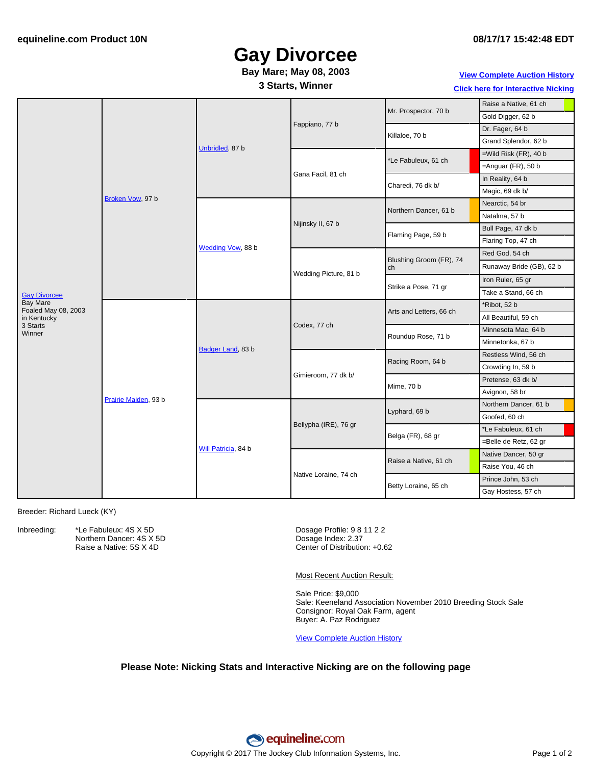# **Gay Divorcee**

### **Bay Mare; May 08, 2003**

#### **3 Starts, Winner**

#### **08/17/17 15:42:48 EDT**

**View [Complete](http://www.equineline.com/Free-Auction-Results.cfm?upsellReferenceNumber=&upsellHorseName=&upsellBreedType=&upsellHorseType=&upsellYOB=&lookupAuctionResults=true&tempHorseType=&tempSale=ALL&tempYear=ALL&search_type=HORSE&reference_number=6899997&horse_name=Fateful&horse_type=ALL&year=ALL&sale=ALL&consignor_id=&consignor_name=&buyer_id=&buyer_name=&price_range_low=&price_range_high=&availableConsignors=&availableBuyers=&fromFree5CrossPedigree=Y) Auction History**

**Click here for [Interactive](#page-1-0) Nicking**

|                                 | Broken Vow, 97 b     | Unbridled, 87 b     | Fappiano, 77 b        | Mr. Prospector, 70 b          | Raise a Native, 61 ch    |
|---------------------------------|----------------------|---------------------|-----------------------|-------------------------------|--------------------------|
|                                 |                      |                     |                       |                               | Gold Digger, 62 b        |
|                                 |                      |                     |                       | Killaloe, 70 b                | Dr. Fager, 64 b          |
|                                 |                      |                     |                       |                               | Grand Splendor, 62 b     |
|                                 |                      |                     | Gana Facil, 81 ch     | Le Fabuleux, 61 ch            | $=$ Wild Risk (FR), 40 b |
|                                 |                      |                     |                       |                               | $=$ Anguar (FR), 50 b    |
|                                 |                      |                     |                       | Charedi, 76 dk b/             | In Reality, 64 b         |
|                                 |                      |                     |                       |                               | Magic, 69 dk b/          |
|                                 |                      | Wedding Vow, 88 b   | Nijinsky II, 67 b     | Northern Dancer, 61 b         | Nearctic, 54 br          |
|                                 |                      |                     |                       |                               | Natalma, 57 b            |
|                                 |                      |                     |                       | Flaming Page, 59 b            | Bull Page, 47 dk b       |
|                                 |                      |                     |                       |                               | Flaring Top, 47 ch       |
|                                 |                      |                     | Wedding Picture, 81 b | Blushing Groom (FR), 74<br>ch | Red God, 54 ch           |
|                                 |                      |                     |                       |                               | Runaway Bride (GB), 62 b |
| <b>Gay Divorcee</b>             |                      |                     |                       | Strike a Pose, 71 gr          | Iron Ruler, 65 gr        |
|                                 |                      |                     |                       |                               | Take a Stand, 66 ch      |
| Bay Mare<br>Foaled May 08, 2003 | Prairie Maiden, 93 b | Badger Land, 83 b   | Codex, 77 ch          | Arts and Letters, 66 ch       | *Ribot, 52 b             |
| in Kentucky                     |                      |                     |                       |                               | All Beautiful, 59 ch     |
| 3 Starts<br>Winner              |                      |                     |                       | Roundup Rose, 71 b            | Minnesota Mac, 64 b      |
|                                 |                      |                     |                       |                               | Minnetonka, 67 b         |
|                                 |                      |                     | Gimieroom, 77 dk b/   | Racing Room, 64 b             | Restless Wind, 56 ch     |
|                                 |                      |                     |                       |                               | Crowding In, 59 b        |
|                                 |                      |                     |                       | Mime, 70 b                    | Pretense, 63 dk b/       |
|                                 |                      |                     |                       |                               | Avignon, 58 br           |
|                                 |                      | Will Patricia, 84 b | Bellypha (IRE), 76 gr | Lyphard, 69 b                 | Northern Dancer, 61 b    |
|                                 |                      |                     |                       |                               | Goofed, 60 ch            |
|                                 |                      |                     |                       | Belga (FR), 68 gr             | *Le Fabuleux, 61 ch      |
|                                 |                      |                     |                       |                               | =Belle de Retz, 62 gr    |
|                                 |                      |                     | Native Loraine, 74 ch | Raise a Native, 61 ch         | Native Dancer, 50 gr     |
|                                 |                      |                     |                       |                               | Raise You, 46 ch         |
|                                 |                      |                     |                       | Betty Loraine, 65 ch          | Prince John, 53 ch       |
|                                 |                      |                     |                       |                               | Gay Hostess, 57 ch       |

Breeder: Richard Lueck (KY)

Inbreeding: \*Le Fabuleux: 4S X 5D

Northern Dancer: 4S X 5D Raise a Native: 5S X 4D

Dosage Profile: 9 8 11 2 2 Dosage Index: 2.37 Center of Distribution: +0.62

Most Recent Auction Result:

Sale Price: \$9,000 Sale: Keeneland Association November 2010 Breeding Stock Sale Consignor: Royal Oak Farm, agent Buyer: A. Paz Rodriguez

View [Complete](http://www.equineline.com/Free-Auction-Results.cfm?upsellReferenceNumber=&upsellHorseName=&upsellBreedType=&upsellHorseType=&upsellYOB=&lookupAuctionResults=true&tempHorseType=&tempSale=ALL&tempYear=ALL&search_type=HORSE&reference_number=6899997&horse_name=Fateful&horse_type=ALL&year=ALL&sale=ALL&consignor_id=&consignor_name=&buyer_id=&buyer_name=&price_range_low=&price_range_high=&availableConsignors=&availableBuyers=&fromFree5CrossPedigree=Y) Auction History

#### **Please Note: Nicking Stats and Interactive Nicking are on the following page**